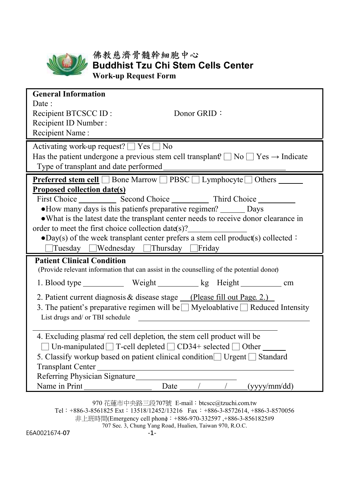

## 佛教慈濟骨髓幹細胞中心 **Buddhist Tzu Chi Stem Cells Center Work-up Request Form**

**General Information** Date: Recipient BTCSCC ID : Recipient ID Number : Donor GRID: Recipient Name : Activating work-up request?  $\boxed{\phantom{1}}$  Yes  $\boxed{\phantom{1}}$  No Has the patient undergone a previous stem cell transplant?  $\Box$  No  $\Box$  Yes  $\rightarrow$  Indicate Type of transplant and date performed **Preferred stem cell** □ Bone Marrow □ PBSC □ Lymphocyte □ Others <u>■ ■</u> **Proposed collection date(s)** First Choice Second Choice Third Choice • How many days is this patient's preparative regimen? Days ●What is the latest date the transplant center needs to receive donor clearance in order to meet the first choice collection date (s)?  $\bullet$ Day(s) of the week transplant center prefers a stem cell product(s) collected: □Tuesday □Wednesday □Thursday □Friday  **Patient Clinical Condition** (Provide relevant information that can assist in the counselling of the potential donor.) 1. Blood type \_\_\_\_\_\_\_\_\_\_\_ Weight \_\_\_\_\_\_\_\_\_\_ kg Height \_\_\_\_\_\_\_\_\_\_\_ cm 2. Patient current diagnosis & disease stage (Please fill out Page. 2.) 3. The patient's preparative regimen will be  $\Box$  Myeloablative  $\Box$  Reduced Intensity List drugs and/ or TBI schedule <u> 1980 - Johann Stein, marwolaethau (b. 1980)</u> 4. Excluding plasma/ red cell depletion, the stem cell product will be  $\Box$  Un-manipulated  $\Box$  T-cell depleted  $\Box$  CD34+ selected  $\Box$  Other 5. Classify workup based on patient clinical condition  $\Box$  Urgent  $\Box$  Standard Transplant Center Referring Physician Signature Name in Print **Date** / / (yyyy/mm/dd) 970 花蓮市中央路三段707號 E-mail: btcscc@tzuchi.com.tw

Tel:+886-3-8561825 Ext:13518/12452/13216 Fax:+886-3-8572614, +886-3-8570056 非上班時間(Emergency cell phone): +886-970-332597 ,+886-3-8561825#9

707 Sec. 3, Chung Yang Road, Hualien, Taiwan 970, R.O.C.

E6A0021674-07 -1-